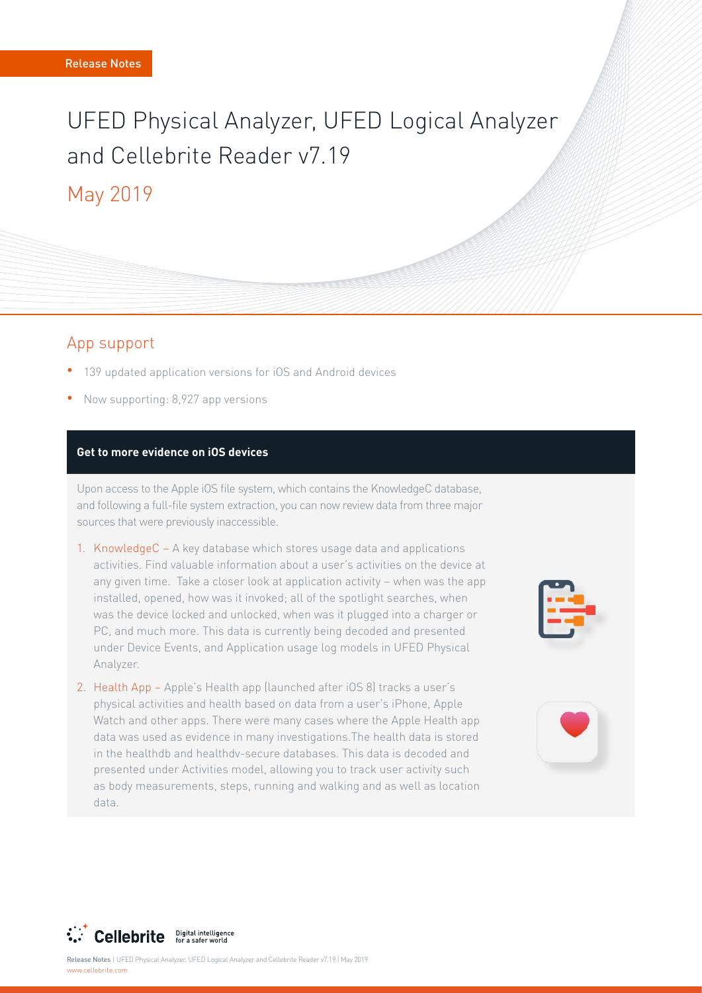# UFED Physical Analyzer, UFED Logical Analyzer and Cellebrite Reader v7 19 May 2019

## App support

- <sup>o</sup> 139 updated application versions for iOS and Android devices
- Now supporting: 8,927 app versions

#### **Get to more evidence on iOS devices**

Upon access to the Apple iOS file system, which contains the KnowledgeC database, and following a full-file system extraction, you can now review data from three major sources that were previously inaccessible.

- 1. KnowledgeC  $-$  A key database which stores usage data and applications activities. Find valuable information about a user's activities on the device at any given time. Take a closer look at application activity - when was the app installed, opened, how was it invoked; all of the spotlight searches, when was the device locked and unlocked, when was it plugged into a charger or PC, and much more. This data is currently being decoded and presented under Device Events, and Application usage log models in UFED Physical .Analyzer
- 2. Health App Apple's Health app (launched after iOS 8) tracks a user's physical activities and health based on data from a user's iPhone, Apple Watch and other apps. There were many cases where the Apple Health app data was used as evidence in many investigations. The health data is stored in the healthdb and healthdv-secure databases. This data is decoded and presented under Activities model, allowing you to track user activity such as body measurements, steps, running and walking and as well as location data.





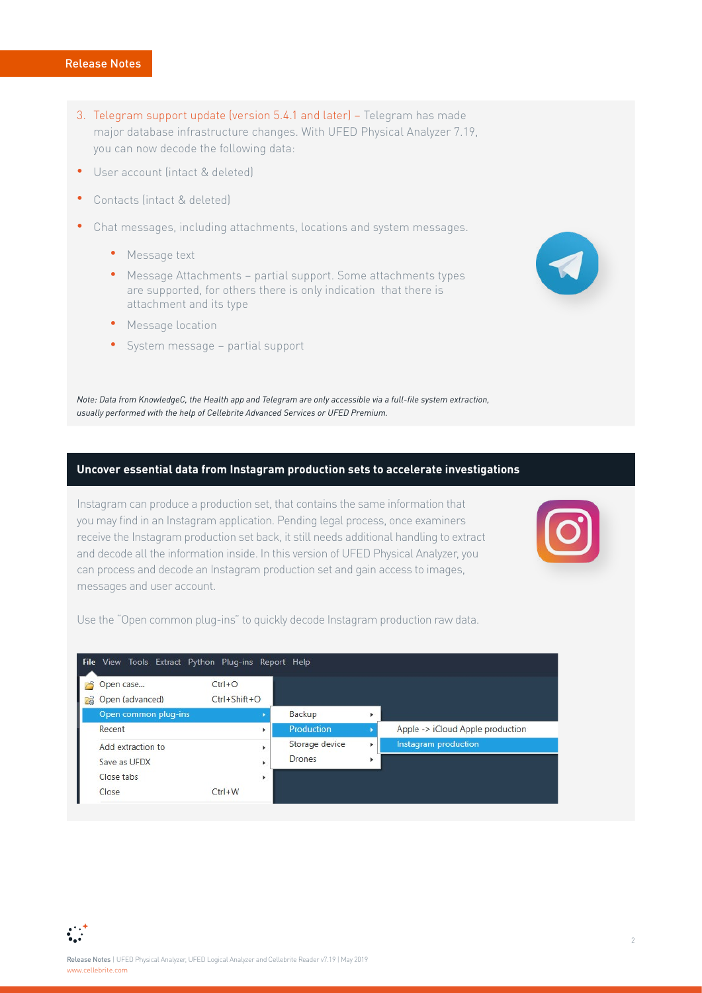- 3. Telegram support update (version 5.4.1 and later) Telegram has made major database infrastructure changes. With UFED Physical Analyzer 7.19, you can now decode the following data:
- User account (intact & deleted)
- Contacts (intact & deleted)
- Chat messages, including attachments, locations and system messages.
	- Message text
	- Message Attachments partial support. Some attachments types are supported, for others there is only indication that there is attachment and its type
	- **•** Message location
	- System message partial support

*Note: Data from KnowledgeC, the Health app and Telegram are only accessible via a full-file system extraction,* usually performed with the help of Cellebrite Advanced Services or UFED Premium.

#### **Uncover essential data from Instagram production sets to accelerate investigations**

Instagram can produce a production set, that contains the same information that you may find in an Instagram application. Pending legal process, once examiners receive the Instagram production set back, it still needs additional handling to extract and decode all the information inside. In this version of UFED Physical Analyzer, you can process and decode an Instagram production set and gain access to images, messages and user account.



Use the "Open common plug-ins" to quickly decode Instagram production raw data.



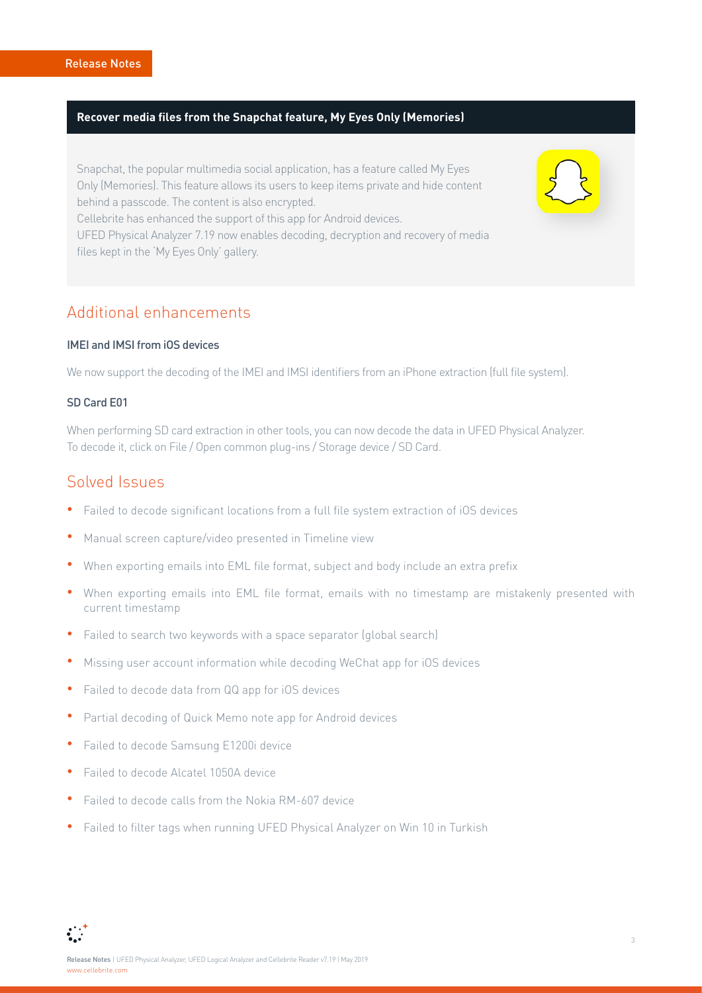#### **Recover media files from the Snapchat feature, My Eyes Only (Memories)**

Snapchat, the popular multimedia social application, has a feature called My Eyes Only (Memories). This feature allows its users to keep items private and hide content behind a passcode. The content is also encrypted. Cellebrite has enhanced the support of this app for Android devices. UFED Physical Analyzer 7.19 now enables decoding, decryption and recovery of media files kept in the 'My Eyes Only' gallery.

## Additional enhancements

#### IMEI and IMSI from IOS devices

We now support the decoding of the IMEI and IMSI identifiers from an iPhone extraction (full file system).

#### SD Card F01

When performing SD card extraction in other tools, you can now decode the data in UFED Physical Analyzer. To decode it, click on File / Open common plug-ins / Storage device / SD Card.

## Solved Issues

- Failed to decode significant locations from a full file system extraction of iOS devices
- Manual screen capture/video presented in Timeline view
- When exporting emails into EML file format, subject and body include an extra prefix
- When exporting emails into EML file format, emails with no timestamp are mistakenly presented with current timestamp
- Failed to search two keywords with a space separator (global search)
- Missing user account information while decoding WeChat app for iOS devices
- **•** Failed to decode data from QQ app for iOS devices
- **•** Partial decoding of Quick Memo note app for Android devices
- **•** Failed to decode Samsung E1200i device
- Failed to decode Alcatel 1050A device
- Failed to decode calls from the Nokia RM-607 device
- Failed to filter tags when running UFED Physical Analyzer on Win 10 in Turkish



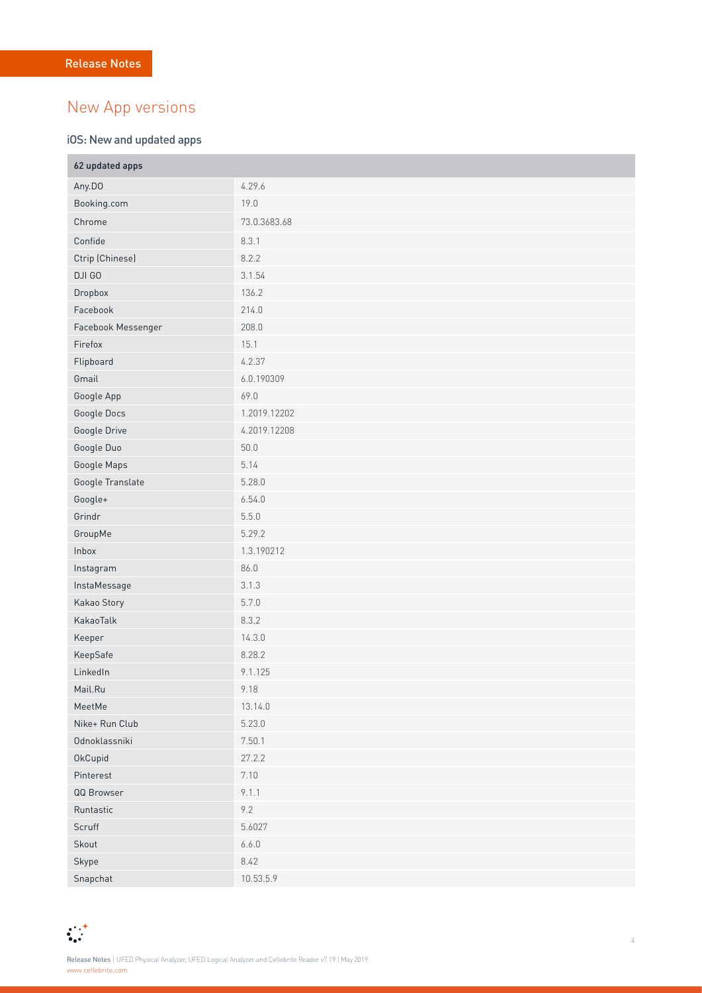## New App versions

#### iOS: New and updated apps

| 62 updated apps    |              |  |
|--------------------|--------------|--|
| Any.DO             | 4.29.6       |  |
| Booking.com        | 19.0         |  |
| Chrome             | 73.0.3683.68 |  |
| Confide            | 8.3.1        |  |
| Ctrip (Chinese)    | 8.2.2        |  |
| DJI GO             | 3.1.54       |  |
| Dropbox            | 136.2        |  |
| Facebook           | 214.0        |  |
| Facebook Messenger | 208.0        |  |
| Firefox            | 15.1         |  |
| Flipboard          | 4.2.37       |  |
| Gmail              | 6.0.190309   |  |
| Google App         | 69.0         |  |
| Google Docs        | 1.2019.12202 |  |
| Google Drive       | 4.2019.12208 |  |
| Google Duo         | 50.0         |  |
| Google Maps        | 5.14         |  |
| Google Translate   | 5.28.0       |  |
| Google+            | 6.54.0       |  |
| Grindr             | 5.5.0        |  |
| GroupMe            | 5.29.2       |  |
| Inbox              | 1.3.190212   |  |
| Instagram          | 86.0         |  |
| InstaMessage       | 3.1.3        |  |
| Kakao Story        | 5.7.0        |  |
| KakaoTalk          | 8.3.2        |  |
| Keeper             | 14.3.0       |  |
| KeepSafe           | 8.28.2       |  |
| LinkedIn           | 9.1.125      |  |
| Mail.Ru            | 9.18         |  |
| MeetMe             | 13.14.0      |  |
| Nike+ Run Club     | 5.23.0       |  |
| Odnoklassniki      | 7.50.1       |  |
| OkCupid            | 27.2.2       |  |
| Pinterest          | 7.10         |  |
| QQ Browser         | 9.1.1        |  |
| Runtastic          | 9.2          |  |
| Scruff             | 5.6027       |  |
| Skout              | 6.6.0        |  |
| Skype              | 8.42         |  |
| Snapchat           | 10.53.5.9    |  |

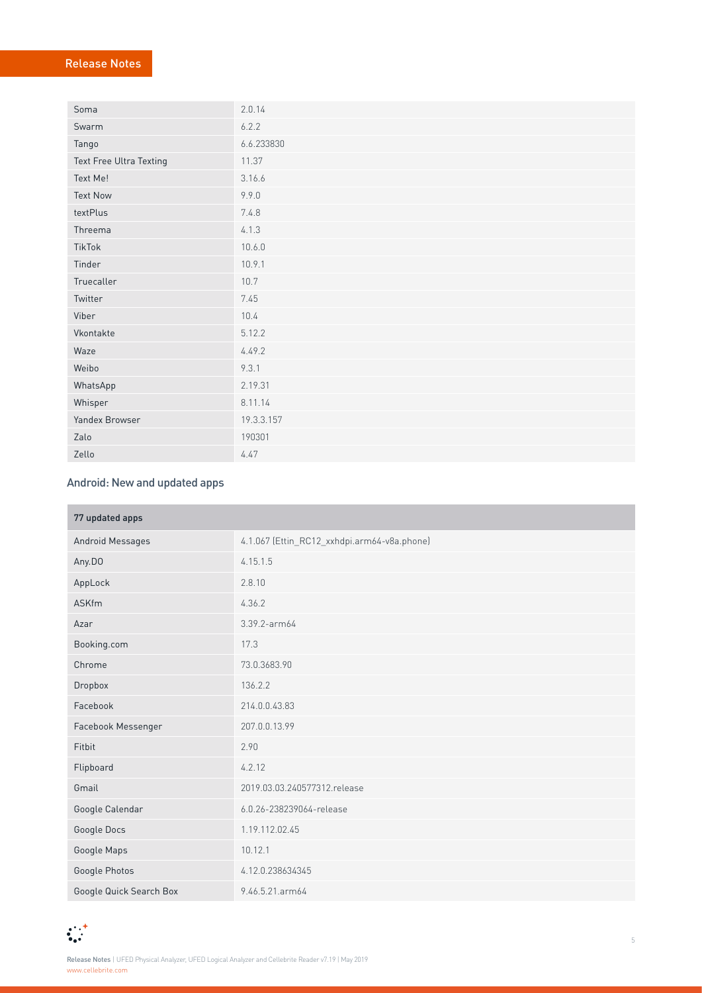## Release Notes

| Soma                    | 2.0.14     |
|-------------------------|------------|
| Swarm                   | 6.2.2      |
| Tango                   | 6.6.233830 |
| Text Free Ultra Texting | 11.37      |
| Text Me!                | 3.16.6     |
| <b>Text Now</b>         | 9.9.0      |
| textPlus                | 7.4.8      |
| Threema                 | 4.1.3      |
| TikTok                  | 10.6.0     |
| Tinder                  | 10.9.1     |
| Truecaller              | 10.7       |
| Twitter                 | 7.45       |
| Viber                   | 10.4       |
| Vkontakte               | 5.12.2     |
| Waze                    | 4.49.2     |
| Weibo                   | 9.3.1      |
| WhatsApp                | 2.19.31    |
| Whisper                 | 8.11.14    |
| Yandex Browser          | 19.3.3.157 |
| Zalo                    | 190301     |
| Zello                   | 4.47       |

## Android: New and updated apps

| 77 updated apps         |                                             |  |
|-------------------------|---------------------------------------------|--|
| Android Messages        | 4.1.067 (Ettin_RC12_xxhdpi.arm64-v8a.phone) |  |
| Any.DO                  | 4.15.1.5                                    |  |
| AppLock                 | 2.8.10                                      |  |
| <b>ASKfm</b>            | 4.36.2                                      |  |
| Azar                    | 3.39.2-arm64                                |  |
| Booking.com             | 17.3                                        |  |
| Chrome                  | 73.0.3683.90                                |  |
| Dropbox                 | 136.2.2                                     |  |
| Facebook                | 214.0.0.43.83                               |  |
| Facebook Messenger      | 207.0.0.13.99                               |  |
| Fitbit                  | 2.90                                        |  |
| Flipboard               | 4.2.12                                      |  |
| Gmail                   | 2019.03.03.240577312.release                |  |
| Google Calendar         | 6.0.26-238239064-release                    |  |
| Google Docs             | 1.19.112.02.45                              |  |
| Google Maps             | 10.12.1                                     |  |
| Google Photos           | 4.12.0.238634345                            |  |
| Google Quick Search Box | 9.46.5.21.arm64                             |  |

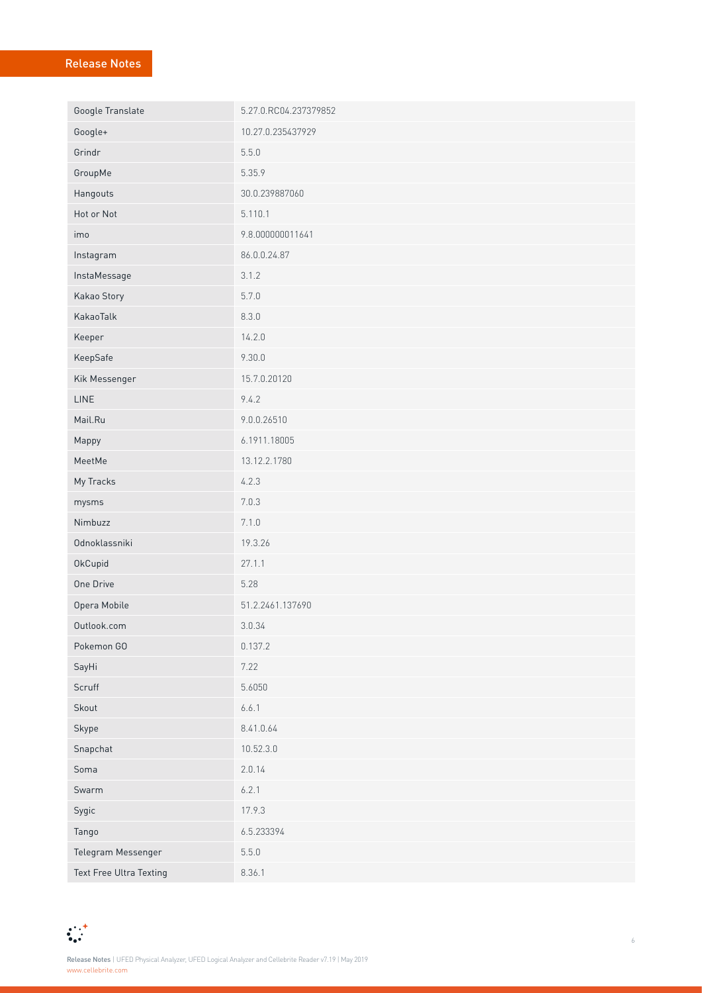## Release Notes

| Google Translate        | 5.27.0.RC04.237379852 |
|-------------------------|-----------------------|
| Google+                 | 10.27.0.235437929     |
| Grindr                  | 5.5.0                 |
| GroupMe                 | 5.35.9                |
| Hangouts                | 30.0.239887060        |
| Hot or Not              | 5.110.1               |
| imo                     | 9.8.000000011641      |
| Instagram               | 86.0.0.24.87          |
| InstaMessage            | 3.1.2                 |
| Kakao Story             | 5.7.0                 |
| KakaoTalk               | 8.3.0                 |
| Keeper                  | 14.2.0                |
| KeepSafe                | 9.30.0                |
| Kik Messenger           | 15.7.0.20120          |
| LINE                    | 9.4.2                 |
| Mail.Ru                 | 9.0.0.26510           |
| Mappy                   | 6.1911.18005          |
| MeetMe                  | 13.12.2.1780          |
| My Tracks               | 4.2.3                 |
| mysms                   | 7.0.3                 |
| Nimbuzz                 | 7.1.0                 |
| Odnoklassniki           | 19.3.26               |
| OkCupid                 | 27.1.1                |
| One Drive               | 5.28                  |
| Opera Mobile            | 51.2.2461.137690      |
| Outlook.com             | 3.0.34                |
| Pokemon GO              | 0.137.2               |
| SayHi                   | 7.22                  |
| Scruff                  | 5.6050                |
| Skout                   | 6.6.1                 |
| Skype                   | 8.41.0.64             |
| Snapchat                | 10.52.3.0             |
| Soma                    | 2.0.14                |
| Swarm                   | 6.2.1                 |
| Sygic                   | 17.9.3                |
| Tango                   | 6.5.233394            |
| Telegram Messenger      | 5.5.0                 |
| Text Free Ultra Texting | 8.36.1                |